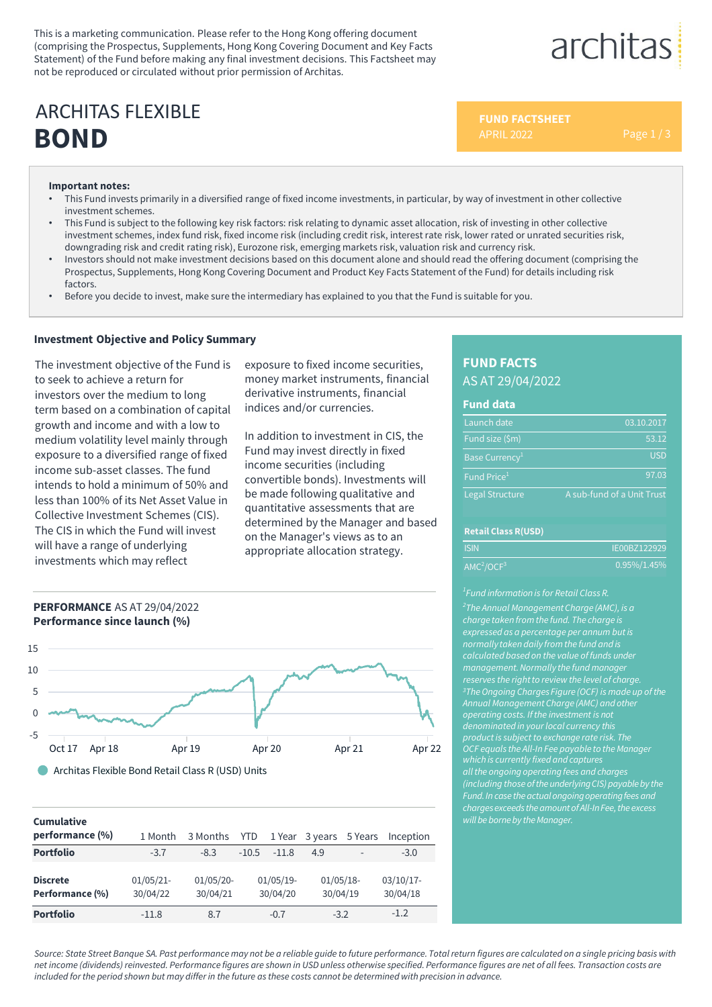This is a marketing communication. Please refer to the Hong Kong offering document (comprising the Prospectus, Supplements, Hong Kong Covering Document and Key Facts Statement) of the Fund before making any final investment decisions. This Factsheet may not be reproduced or circulated without prior permission of Architas.

# **BOND** ARCHITAS FLEXIBLE

**FUND FACTSHEET**

architas

#### **Important notes:**

- This Fund invests primarily in a diversified range of fixed income investments, in particular, by way of investment in other collective investment schemes.
- This Fund is subject to the following key risk factors: risk relating to dynamic asset allocation, risk of investing in other collective investment schemes, index fund risk, fixed income risk (including credit risk, interest rate risk, lower rated or unrated securities risk, downgrading risk and credit rating risk), Eurozone risk, emerging markets risk, valuation risk and currency risk.
- Investors should not make investment decisions based on this document alone and should read the offering document (comprising the Prospectus, Supplements, Hong Kong Covering Document and Product Key Facts Statement of the Fund) for details including risk factors.
- Before you decide to invest, make sure the intermediary has explained to you that the Fund is suitable for you.

### **Investment Objective and Policy Summary**

The investment objective of the Fund is to seek to achieve a return for investors over the medium to long term based on a combination of capital growth and income and with a low to medium volatility level mainly through exposure to a diversified range of fixed income sub-asset classes. The fund intends to hold a minimum of 50% and less than 100% of its Net Asset Value in Collective Investment Schemes (CIS). The CIS in which the Fund will invest will have a range of underlying investments which may reflect

exposure to fixed income securities, money market instruments, financial derivative instruments, financial indices and/or currencies.

In addition to investment in CIS, the Fund may invest directly in fixed income securities (including convertible bonds). Investments will be made following qualitative and quantitative assessments that are determined by the Manager and based on the Manager's views as to an appropriate allocation strategy.





Architas Flexible Bond Retail Class R (USD) Units

#### **Cumulative**

| performance (%)                    | 1 Month                  | 3 Months                | <b>YTD</b> |                         | 1 Year 3 years 5 Years   |   | Inception                |
|------------------------------------|--------------------------|-------------------------|------------|-------------------------|--------------------------|---|--------------------------|
| <b>Portfolio</b>                   | $-3.7$                   | $-8.3$                  | $-10.5$    | $-11.8$                 | 4.9                      | ٠ | $-3.0$                   |
| <b>Discrete</b><br>Performance (%) | $01/05/21$ -<br>30/04/22 | $01/05/20-$<br>30/04/21 |            | $01/05/19-$<br>30/04/20 | $01/05/18$ -<br>30/04/19 |   | $03/10/17$ -<br>30/04/18 |
| <b>Portfolio</b>                   | $-11.8$                  | 8.7                     |            | $-0.7$                  | $-3.2$                   |   | $-1.2$                   |

# **FUND FACTS** AS AT 29/04/2022

#### **Fund data**

| Launch date                                   | 03.10.2017                 |
|-----------------------------------------------|----------------------------|
| Fund size (\$m)                               | 53.12                      |
| Base Currency <sup>1</sup>                    | <b>USD</b>                 |
| $\overline{\mathsf{Fund}}$ Price <sup>1</sup> | 97.03                      |
| <b>Legal Structure</b>                        | A sub-fund of a Unit Trust |

#### **Retail Class R(USD)**

| <b>ISIN</b>                        | IE00BZ122929    |
|------------------------------------|-----------------|
| AMC <sup>2</sup> /OCF <sup>3</sup> | $0.95\%/1.45\%$ |

*2 The Annual Management Charge (AMC), is a normally taken daily fromthe fund and is management.Normally the fund manager reserves the rightto review the level of charge. 3TheOngoing Charges Figure (OCF) is made up of the Annual Management Charge (AMC) and other operating costs. If the investment is not product is subject to exchange rate risk. The OCF equals the All-In Fee payable to the Manager allthe ongoing operating fees and charges (including those of the underlying CIS) payable by the Fund. In case the actual ongoing operating fees and charges exceeds the amount of All-In Fee, the excess will be borneby the Manager.*

*Source: State Street Banque SA. Past performance may not be a reliable guide to future performance. Total return figures are calculated on a single pricing basis with net income (dividends) reinvested. Performance figures are shown in USD unless otherwise specified. Performance figures are net of all fees. Transaction costs are included for the period shown but may differ in the future as these costs cannot be determined with precision in advance.*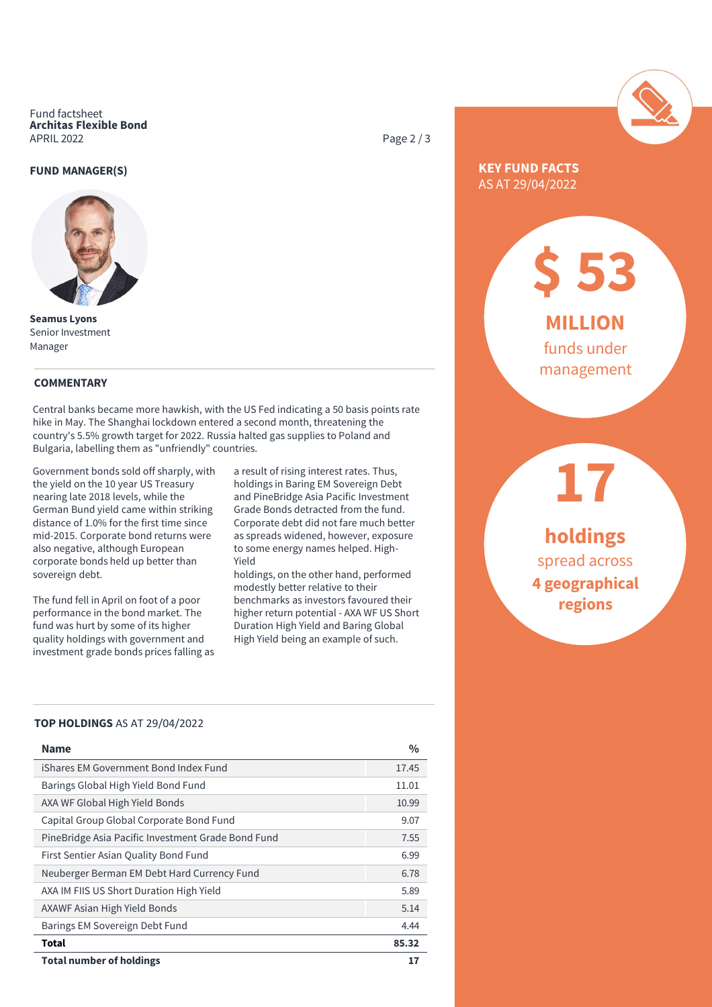Fund factsheet **Architas Flexible Bond** APRIL 2022

#### **FUND MANAGER(S)**



**Seamus Lyons** Senior Investment Manager

#### **COMMENTARY**

Central banks became more hawkish, with the US Fed indicating a 50 basis points rate hike in May. The Shanghai lockdown entered a second month, threatening the country's 5.5% growth target for 2022. Russia halted gas supplies to Poland and Bulgaria, labelling them as "unfriendly" countries.

Government bonds sold off sharply, with the yield on the 10 year US Treasury nearing late 2018 levels, while the German Bund yield came within striking distance of 1.0% for the first time since mid-2015. Corporate bond returns were also negative, although European corporate bonds held up better than sovereign debt.

The fund fell in April on foot of a poor performance in the bond market. The fund was hurt by some of its higher quality holdings with government and investment grade bonds prices falling as

a result of rising interest rates. Thus, holdings in Baring EM Sovereign Debt and PineBridge Asia Pacific Investment Grade Bonds detracted from the fund. Corporate debt did not fare much better as spreads widened, however, exposure to some energy names helped. High-Yield

holdings, on the other hand, performed modestly better relative to their benchmarks as investors favoured their higher return potential - AXA WF US Short Duration High Yield and Baring Global High Yield being an example of such.

#### **TOP HOLDINGS** AS AT 29/04/2022

| <b>Name</b>                                        | $\frac{0}{0}$ |
|----------------------------------------------------|---------------|
| iShares EM Government Bond Index Fund              | 17.45         |
| Barings Global High Yield Bond Fund                | 11.01         |
| AXA WF Global High Yield Bonds                     | 10.99         |
| Capital Group Global Corporate Bond Fund           | 9.07          |
| PineBridge Asia Pacific Investment Grade Bond Fund | 7.55          |
| First Sentier Asian Quality Bond Fund              | 6.99          |
| Neuberger Berman EM Debt Hard Currency Fund        | 6.78          |
| AXA IM FIIS US Short Duration High Yield           | 5.89          |
| AXAWF Asian High Yield Bonds                       | 5.14          |
| Barings EM Sovereign Debt Fund                     | 4.44          |
| Total                                              | 85.32         |
| <b>Total number of holdings</b>                    | 17            |

Page 2 / 3



## **KEY FUND FACTS** AS AT 29/04/2022

**MILLION** funds under

**\$ 53**

management

**holdings** spread across **4 geographical regions**

**17**